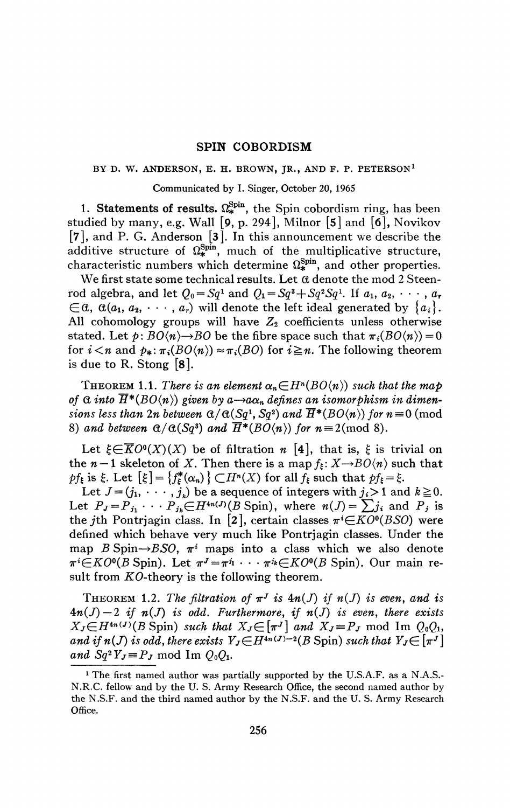## **SPIN COBORDISM**

#### **BY D. W. ANDERSON, E. H. BROWN, JR., AND F. P. PETERSON<sup>1</sup>**

#### Communicated by I. Singer, October 20, 1965

1. Statements of results.  $\Omega_*^{\text{Spin}}$ , the Spin cobordism ring, has been studied by many, e.g. Wall [9, p. 294], Milnor [5] and [6], Novikov [7], and P. G. Anderson [3]. In this announcement we describe the additive structure of  $\Omega_*^{\text{Spin}}$ , much of the multiplicative structure, characteristic numbers which determine  $\Omega_{*}^{\text{Spin}}$ , and other properties.

We first state some technical results. Let *d* denote the mod 2 Steenrod algebra, and let  $Q_0 = Sq^1$  and  $Q_1 = Sq^3 + Sq^2Sq^1$ . If  $a_1, a_2, \cdots, a_r$  $\in \mathcal{C}$ ,  $\alpha(a_1, a_2, \cdots, a_r)$  will denote the left ideal generated by  $\{a_i\}.$ All cohomology groups will have  $Z_2$  coefficients unless otherwise stated. Let  $p:BO\langle n\rangle \rightarrow BO$  be the fibre space such that  $\pi_i(BO\langle n\rangle) = 0$ for  $i < n$  and  $p_*: \pi_i(BO(n)) \approx \pi_i(BO)$  for  $i \geq n$ . The following theorem is due to R. Stong [8].

THEOREM 1.1. There is an element  $\alpha_n \in H^n(BO\langle n \rangle)$  such that the map of  $\alpha$  *into*  $\overline{H}^*(BO\langle n \rangle)$  given by  $a \rightarrow a\alpha_n$  defines an isomorphism in dimen*sions less than 2n between*  $\alpha/\alpha(Sq^1, Sq^2)$  and  $\overline{H}^*(BO\langle n \rangle)$  for  $n \equiv 0 \pmod{0}$ 8) and between  $\alpha/\alpha(Sq^2)$  and  $\overline{H}^*(BO\langle n \rangle)$  for  $n \equiv 2 \pmod{8}$ .

Let  $\xi \in \overline{K}O^0(X)(X)$  be of filtration n [4], that is,  $\xi$  is trivial on the  $n-1$  skeleton of X. Then there is a map  $f_{\xi}: X \rightarrow BO(n)$  such that  $pf_{\xi}$  is  $\xi$ . Let  $[\xi] = \{f_{\xi}^*(\alpha_n)\}\subset H^n(X)$  for all  $f_{\xi}$  such that  $pf_{\xi} = \xi$ .

Let  $J=(j_1, \dots, j_k)$  be a sequence of integers with  $j_i>1$  and  $k\geq 0$ . Let  $P_J = P_{j_1} \cdots P_{j_k} \in H^{4n(J)}(B \text{ Spin})$ , where  $n(J) = \sum j_i$  and  $P_j$  is the *j*th Pontrjagin class. In [2], certain classes  $\pi$ <sup>*i*</sup> $\in$ *KO*<sup>0</sup>(*BSO*) were defined which behave very much like Pontrjagin classes. Under the map *B* Spin $\rightarrow$ *BSO*,  $\pi$ <sup>*i*</sup> maps into a class which we also denote  $\pi^{i} \in KO^{0}(B$  Spin). Let  $\pi^{J} = \pi^{j_1} \cdots \pi^{j_k} \in KO^{0}(B$  Spin). Our main result from KO-theory is the following theorem.

THEOREM 1.2. The filtration of  $\pi^{J}$  is  $4n(J)$  if  $n(J)$  is even, and is  $4n(J)-2$  if  $n(J)$  is odd. Furthermore, if  $n(J)$  is even, there exists  $X_J \in H^{4n(J)}(B \text{ Spin})$  such that  $X_J \in [\pi^J]$  and  $X_J \equiv P_J \text{ mod } \text{Im } Q_0Q_1$ , *and if*  $n(J)$  *is odd, there exists*  $Y_J \in H^{4n(J)-2}(B$  Spin) such that  $Y_J \in [\pi^J]$ and  $Sq^2 Y_J \equiv P_J \mod \text{Im } Q_0 Q_1$ .

<sup>&</sup>lt;sup>1</sup> The first named author was partially supported by the U.S.A.F. as a N.A.S.-N.R.C. fellow and by the U. S. Army Research Office, the second named author by the N.S.F. and the third named author by the N.S.F. and the U. S. Army Research Office.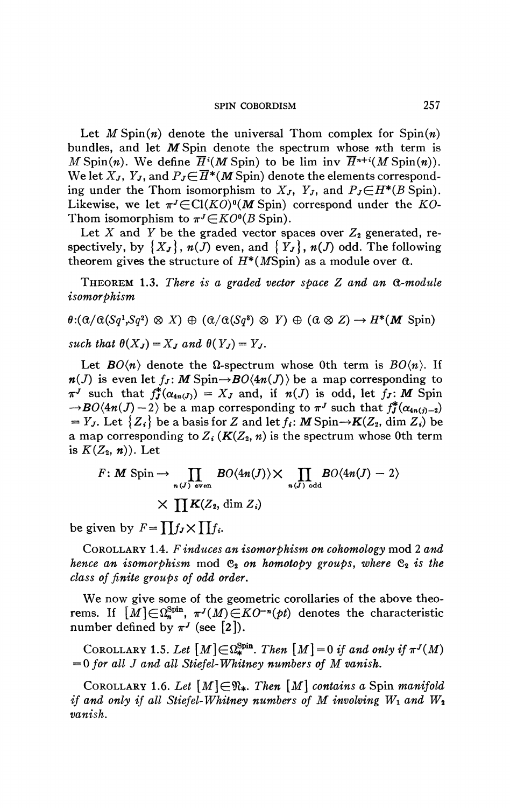# **SPIN COBORDISM** 257

Let  $M$  Spin(n) denote the universal Thom complex for  $\text{Spin}(n)$ bundles, and let M Spin denote the spectrum whose *nth* term is *M* Spin(*n*). We define  $\overline{H}^i(M\text{ Spin})$  to be lim inv  $\overline{H}^{n+i}(M\text{Spin}(n))$ . We let  $X_J$ ,  $Y_J$ , and  $P_J \in \overline{H}^*(M)$  Spin) denote the elements corresponding under the Thom isomorphism to  $X_J$ ,  $Y_J$ , and  $P_J \in H^*(B \text{ Spin})$ . Likewise, we let  $\pi^{J} \in \mathrm{Cl}(KO)^{0}(M)$  Spin) correspond under the *KO*-Thom isomorphism to  $\pi^{J} \in KO^{0}(B$  Spin).

Let  $X$  and  $Y$  be the graded vector spaces over  $Z_2$  generated, respectively, by  $\{X_J\}$ ,  $n(J)$  even, and  $\{Y_J\}$ ,  $n(J)$  odd. The following theorem gives the structure of  $H^*(M\text{Spin})$  as a module over  $\alpha$ .

THEOREM 1.3. *There is a graded vector space Z and an (X-module isomorphism* 

$$
\theta: (\alpha/\alpha(Sq^1, Sq^2) \otimes X) \oplus (\alpha/\alpha(Sq^3) \otimes Y) \oplus (\alpha \otimes Z) \to H^*(M \text{ Spin})
$$
  
such that  $\theta(X_J) = X_J$  and  $\theta(Y_J) = Y_J$ .

Let  $BO\langle n \rangle$  denote the  $\Omega$ -spectrum whose 0th term is  $BO\langle n \rangle$ . If  $n(J)$  is even let  $f_J: M$  Spin $\rightarrow BO(4n(J))$  be a map corresponding to  $\pi^J$  such that  $f_J^*(\alpha_{4n(J)}) = X_J$  and, if  $n(J)$  is odd, let  $f_J$ : M Spin  $\rightarrow$ *BO*(4*n*(*J*) - 2) be a map corresponding to  $\pi$ <sup>*J*</sup> such that  $f_j^*(\alpha_{4n(j)-2})$  $= Y_J$ . Let  $\{Z_i\}$  be a basis for Z and let  $f_i$ : M Spin $\rightarrow K(Z_2, \text{dim } Z_i)$  be a map corresponding to  $Z_i$  ( $K(Z_2, n)$  is the spectrum whose 0th term is  $K(Z_2, n)$ ). Let

$$
F: M \text{ Spin} \to \prod_{n(J) \text{ even}} BO\langle 4n(J) \rangle \times \prod_{n(J) \text{ odd}} BO\langle 4n(J) - 2 \rangle
$$
  
 
$$
\times \prod K(Z_2, \dim Z_i)
$$

be given by  $F = \prod f_{i} \times \prod f_{i}$ .

COROLLARY 1.4. *F induces an isomorphism on cohomology* mod 2 *and hence an isomorphism* mod  $C_2$  on homotopy groups, where  $C_2$  is the dass *of finite groups of odd order.* 

We now give some of the geometric corollaries of the above theorems. If  $[M] \in \Omega_n^{\text{Spin}}$ ,  $\pi^J(M) \in KO^{-n}(pt)$  denotes the characteristic number defined by  $\pi^{J}$  (see [2]).

COROLLARY 1.5. Let  $[M] \in \Omega_*^{\text{Spin}}$ . Then  $[M] = 0$  if and only if  $\pi<sup>J</sup>(M)$  $= 0$  for all J and all Stiefel-Whitney numbers of M vanish.

COROLLARY 1.6. Let  $[M] \in \mathfrak{N}_*$ . Then  $[M]$  contains a Spin manifold *if and only if all Stiefel-Whitney numbers of M involving*  $W_1$  *and*  $W_2$ *vanish.*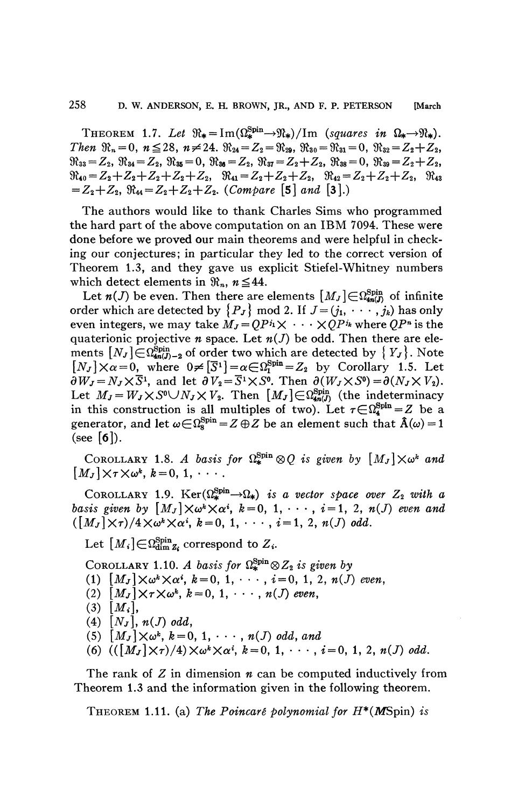THEOREM 1.7. Let  $\Re_{\ast} = \text{Im}(\Omega_{\ast}^{\text{Spin}} \rightarrow \Re_{\ast})/\text{Im}$  (squares in  $\Omega_{\ast} \rightarrow \Re_{\ast}$ ). Then  $\mathfrak{R}_n = 0$ ,  $n \le 28$ ,  $n \ne 24$ .  $\mathfrak{R}_{24} = Z_2 = \mathfrak{R}_{29}$ ,  $\mathfrak{R}_{30} = \mathfrak{R}_{31} = 0$ ,  $\mathfrak{R}_{32} = Z_2 + Z_2$ ,  $\Re_{33} = Z_2, \ \Re_{34} = Z_2, \ \Re_{35} = 0, \ \Re_{36} = Z_2, \ \Re_{37} = Z_2 + Z_2, \ \Re_{38} = 0, \ \Re_{39} = Z_2 + Z_2,$  $\mathfrak{R}_{40} = Z_2 + Z_2 + Z_2 + Z_2 + Z_3$ ,  $\mathfrak{R}_{41} = Z_2 + Z_2 + Z_2$ ,  $\mathfrak{R}_{42} = Z_2 + Z_2 + Z_3$ ,  $\mathfrak{R}_{43}$  $=Z_2+Z_2, \Re A_4=Z_2+Z_2+Z_3.$  (Compare [5] and [3].)

The authors would like to thank Charles Sims who programmed the hard part of the above computation on an IBM 7094. These were done before we proved our main theorems and were helpful in checking our conjectures; in particular they led to the correct version of Theorem 1.3, and they gave us explicit Stiefel-Whitney numbers which detect elements in  $\mathfrak{R}_n$ ,  $n \leq 44$ .

Let  $n(J)$  be even. Then there are elements  $[M_J] \in \Omega_{4n(J)}^{\text{Spin}}$  of infinite order which are detected by  $\{P_J\}$  mod 2. If  $J=(j_1, \dots, j_k)$  has only even integers, we may take  $M_J = OP^{i_1} \times \cdots \times OP^{i_k}$  where  $OP^{i_1}$  is the quaterionic projective  $n$  space. Let  $n(J)$  be odd. Then there are elements  $[N_J] \in \Omega_{4n(J)-2}^{\text{Spin}}$  of order two which are detected by  $\{Y_J\}$ . Note  $[N_J]\times\alpha=0$ , where  $0\neq [\overline{S}^1]=\alpha\in\Omega_1^{\text{Spin}}=Z_2$  by Corollary 1.5. Let  $\partial W_J = N_J \times \overline{S}^1$ , and let  $\partial V_2 = \overline{S}^1 \times S^0$ . Then  $\partial (W_J \times S^0) = \partial (N_J \times V_2)$ .<br>Let  $M_J = W_J \times S^0 \cup N_J \times V_2$ . Then  $[M_J] \in \Omega_{\text{4m}(J)}^{\text{Spin}}$  (the indeterminacy in this construction is all multiples of two). Let  $\tau \in \Omega_4^{\text{Spin}} = Z$  be a generator, and let  $\omega \in \Omega_{\rm s}^{\rm Spin} = Z \oplus Z$  be an element such that  $\hat{A}(\omega) = 1$ (see  $\lceil 6 \rceil$ ).

COROLLARY 1.8. A basis for  $\Omega^{\text{Spin}}_{\star} \otimes Q$  is given by  $[M_{J}] \times \omega^{k}$  and  $[M_J] \times \tau \times \omega^k$ ,  $k=0, 1, \cdots$ .

COROLLARY 1.9. Ker $(\Omega_{\ast}^{\text{Spin}} \rightarrow \Omega_{\ast})$  is a vector space over  $Z_2$  with a basis given by  $[M_J] \times \omega^k \times \alpha^i$ ,  $k = 0, 1, \dots, i = 1, 2, n(J)$  even and  $([M_J]\times\tau)/4\times\omega^k\times\alpha^i, k=0, 1, \cdots, i=1, 2, n(J)$  odd.

Let  $[M_i] \in \Omega_{\dim Z_i}^{\text{Spin}}$  correspond to  $Z_i$ .

COROLLARY 1.10. A basis for  $\Omega_*^{\text{Spin}} \otimes Z_2$  is given by

- (1)  $[M_J] \times \omega^k \times \alpha^i$ ,  $k = 0, 1, \dots, i = 0, 1, 2, n(J)$  even,
- (2)  $[M_J] \times \tau \times \omega^k$ ,  $k = 0, 1, \cdots, n(J)$  even,
- $(3)$   $[M_i]$ ,
- $(4)$   $[N_J]$ ,  $n(J)$  odd,
- (5)  $[M_J] \times \omega^k$ ,  $k = 0, 1, \cdots, n(J)$  odd, and
- (6)  $((\lceil M_J \rceil \times \tau)/4) \times \omega^k \times \alpha^i, k = 0, 1, \cdots, i = 0, 1, 2, n(J) \text{ odd.}$

The rank of  $Z$  in dimension  $n$  can be computed inductively from Theorem 1.3 and the information given in the following theorem.

THEOREM 1.11. (a) The Poincaré polynomial for  $H^*(M\text{Spin})$  is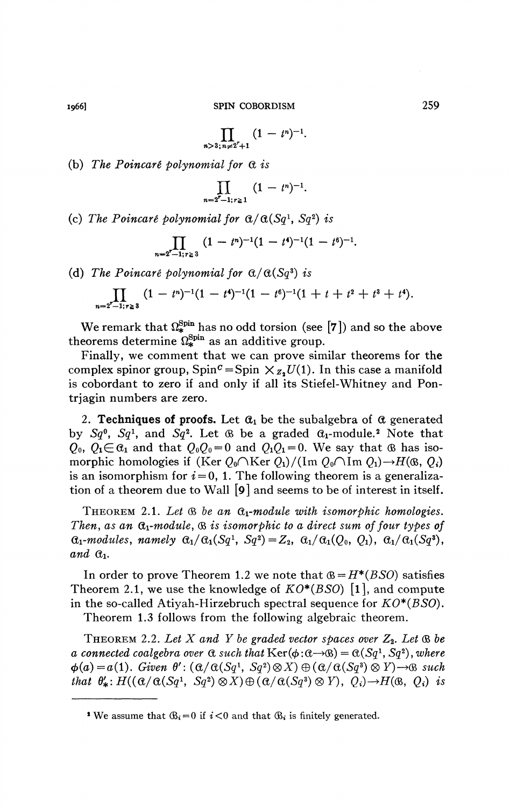$$
\prod_{n>3;\,n\neq 2^r+1} (1-t^n)^{-1}
$$

**.** 

(b) *The Poincarê polynomial for* G, *is* 

$$
\prod_{n=2^r-1; r\geq 1} (1-t^n)^{-1}.
$$

(c) The Poincaré polynomial for  $\alpha/\alpha(Sq^1, Sq^2)$  is

$$
\prod_{n=2^r-1; r\geq 3} (1-t^n)^{-1}(1-t^4)^{-1}(1-t^6)^{-1}.
$$

(d) The Poincaré polynomial for  $\alpha/\alpha(Sq^3)$  is

$$
\prod_{n=2^r-1; r\geq 3} (1-t^n)^{-1}(1-t^4)^{-1}(1-t^6)^{-1}(1+t+t^2+t^3+t^4).
$$

We remark that  $\Omega_*^{\text{Spin}}$  has no odd torsion (see [7]) and so the above theorems determine  $\Omega_*^{\text{Spin}}$  as an additive group.

Finally, we comment that we can prove similar theorems for the complex spinor group,  $Spin^c = Spin \times_{Z_2} U(1)$ . In this case a manifold is cobordant to zero if and only if all its Stiefel-Whitney and Pontrjagin numbers are zero.

2. **Techniques of proofs.** Let  $\alpha_1$  be the subalgebra of  $\alpha$  generated by  $Sq^0$ ,  $Sq^1$ , and  $Sq^2$ . Let  $\circledR$  be a graded  $\circledR_1$ -module.<sup>2</sup> Note that  $Q_0$ ,  $Q_1 \in \mathcal{C}_1$  and that  $Q_0Q_0 = 0$  and  $Q_1Q_1 = 0$ . We say that  $\mathcal{C}_0$  has isomorphic homologies if  $(Ker Q_0 \cap Ker Q_1)/(Im Q_0 \cap Im Q_1) \rightarrow H(\mathfrak{B}, Q_i)$ is an isomorphism for  $i = 0$ , 1. The following theorem is a generalization of a theorem due to Wall [9] and seems to be of interest in itself.

THEOREM 2.1. Let  $\mathcal B$  be an  $\mathfrak a_1$ -module with isomorphic homologies. *Then, as an*  $\alpha_1$ *-module,*  $\alpha$  *is isomorphic to a direct sum of four types of*  $G_1$ -modules, namely  $G_1/G_1(Sq^1, Sq^2) = Z_2$ ,  $G_1/G_1(Q_0, Q_1)$ ,  $G_1/G_1(Sq^3)$ ,  $and$   $\alpha_1$ .

In order to prove Theorem 1.2 we note that  $B = H^*(BSO)$  satisfies Theorem 2.1, we use the knowledge of *KO\*(BSO)* [l], and compute in the so-called Atiyah-Hirzebruch spectral sequence for *KO\*(BSO).* 

Theorem 1.3 follows from the following algebraic theorem.

THEOREM 2.2. Let  $X$  and  $Y$  be graded vector spaces over  $Z_2$ . Let  $\mathfrak{B}$  be *a connected coalgebra over*  $\alpha$  *such that*  $\text{Ker}(\phi:\alpha \rightarrow \alpha) = \alpha(Sq^1, Sq^2)$ *, where*  $\phi(a) = a(1)$ . Given  $\theta'$ :  $(\alpha/\alpha(Sq^1, Sq^2) \otimes X) \oplus (\alpha/\alpha(Sq^3) \otimes Y) \rightarrow \mathcal{B}$  such *that*  $\theta'_*: H((\alpha/\alpha(Sq^1, Sq^2) \otimes X) \oplus (\alpha/\alpha(Sq^3) \otimes Y), Q_i) \rightarrow H(\alpha, Q_i)$  is

<sup>&</sup>lt;sup>2</sup> We assume that  $\mathcal{B}_i = 0$  if  $i < 0$  and that  $\mathcal{B}_i$  is finitely generated.